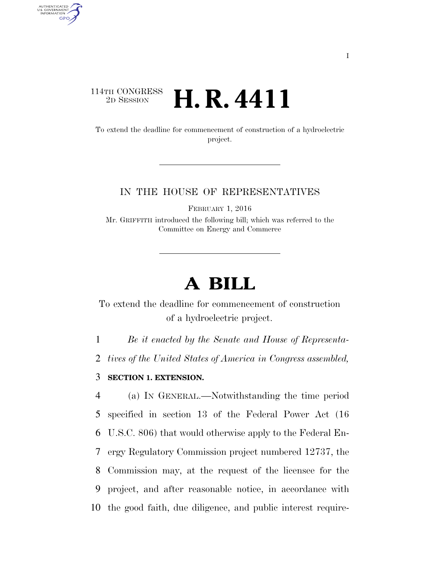## 114TH CONGRESS <sup>2D SESSION</sup> **H. R. 4411**

AUTHENTICATED<br>U.S. GOVERNMENT<br>INFORMATION GPO

> To extend the deadline for commencement of construction of a hydroelectric project.

## IN THE HOUSE OF REPRESENTATIVES

FEBRUARY 1, 2016

Mr. GRIFFITH introduced the following bill; which was referred to the Committee on Energy and Commerce

## **A BILL**

To extend the deadline for commencement of construction of a hydroelectric project.

1 *Be it enacted by the Senate and House of Representa-*

2 *tives of the United States of America in Congress assembled,* 

3 **SECTION 1. EXTENSION.** 

 (a) IN GENERAL.—Notwithstanding the time period specified in section 13 of the Federal Power Act (16 U.S.C. 806) that would otherwise apply to the Federal En- ergy Regulatory Commission project numbered 12737, the Commission may, at the request of the licensee for the project, and after reasonable notice, in accordance with the good faith, due diligence, and public interest require